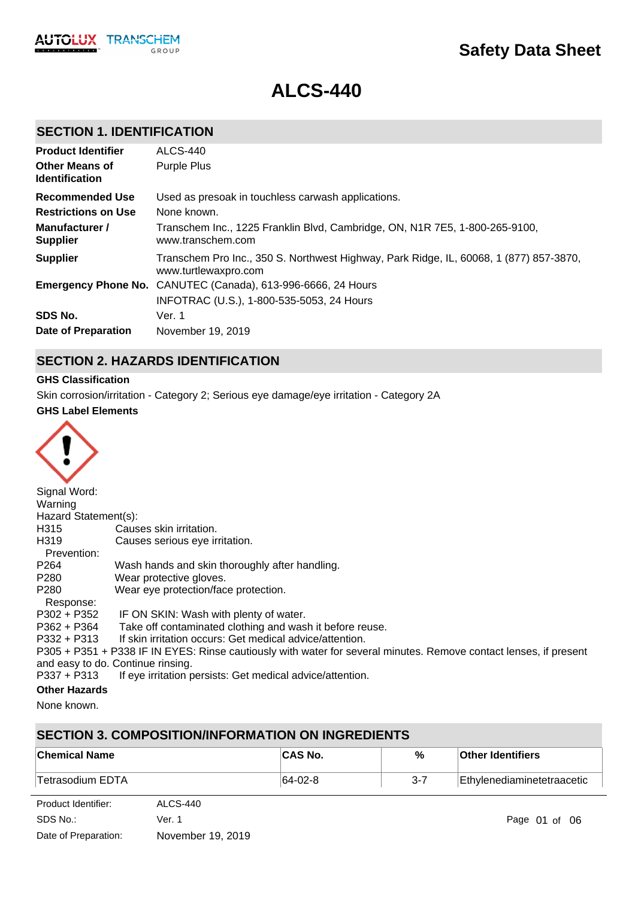# **ALCS-440**

# **SECTION 1. IDENTIFICATION**

| <b>Product Identifier</b><br><b>Other Means of</b><br><b>Identification</b>        | ALCS-440<br><b>Purple Plus</b>                                                                                                                                        |
|------------------------------------------------------------------------------------|-----------------------------------------------------------------------------------------------------------------------------------------------------------------------|
| Recommended Use<br><b>Restrictions on Use</b><br>Manufacturer /<br><b>Supplier</b> | Used as presoak in touchless carwash applications.<br>None known.<br>Transchem Inc., 1225 Franklin Blvd, Cambridge, ON, N1R 7E5, 1-800-265-9100,<br>www.transchem.com |
| <b>Supplier</b>                                                                    | Transchem Pro Inc., 350 S. Northwest Highway, Park Ridge, IL, 60068, 1 (877) 857-3870,<br>www.turtlewaxpro.com                                                        |
|                                                                                    | <b>Emergency Phone No.</b> CANUTEC (Canada), 613-996-6666, 24 Hours<br>INFOTRAC (U.S.), 1-800-535-5053, 24 Hours                                                      |
| SDS No.                                                                            | Ver. 1                                                                                                                                                                |
| Date of Preparation                                                                | November 19, 2019                                                                                                                                                     |

# **SECTION 2. HAZARDS IDENTIFICATION**

### **GHS Classification**

Skin corrosion/irritation - Category 2; Serious eye damage/eye irritation - Category 2A

### **GHS Label Elements**



| Signal Word:                    |                                                                                                                   |
|---------------------------------|-------------------------------------------------------------------------------------------------------------------|
| Warning                         |                                                                                                                   |
| Hazard Statement(s):            |                                                                                                                   |
| H315                            | Causes skin irritation.                                                                                           |
| H319                            | Causes serious eye irritation.                                                                                    |
| Prevention:                     |                                                                                                                   |
| P <sub>264</sub>                | Wash hands and skin thoroughly after handling.                                                                    |
| P280                            | Wear protective gloves.                                                                                           |
| P280                            | Wear eye protection/face protection.                                                                              |
| Response:                       |                                                                                                                   |
| P302 + P352                     | IF ON SKIN: Wash with plenty of water.                                                                            |
| P362 + P364                     | Take off contaminated clothing and wash it before reuse.                                                          |
| $P332 + P313$                   | If skin irritation occurs: Get medical advice/attention.                                                          |
|                                 | P305 + P351 + P338 IF IN EYES: Rinse cautiously with water for several minutes. Remove contact lenses, if present |
|                                 | and easy to do. Continue rinsing.                                                                                 |
| P337 + P313                     | If eye irritation persists: Get medical advice/attention.                                                         |
| $\sim$ 11. $\sim$ 11. $\sim$ 1. |                                                                                                                   |

#### **Other Hazards**

None known.

# **SECTION 3. COMPOSITION/INFORMATION ON INGREDIENTS**

| ∣Chemical Name   | <b>CAS No.</b> | %   | <b>Other Identifiers</b>   |
|------------------|----------------|-----|----------------------------|
| Tetrasodium EDTA | $ 64-02-8 $    | 3-7 | Ethylenediaminetetraacetic |

| Product Identifier:  | ALCS-440          |
|----------------------|-------------------|
| SDS No.:             | Ver. 1            |
| Date of Preparation: | November 19, 2019 |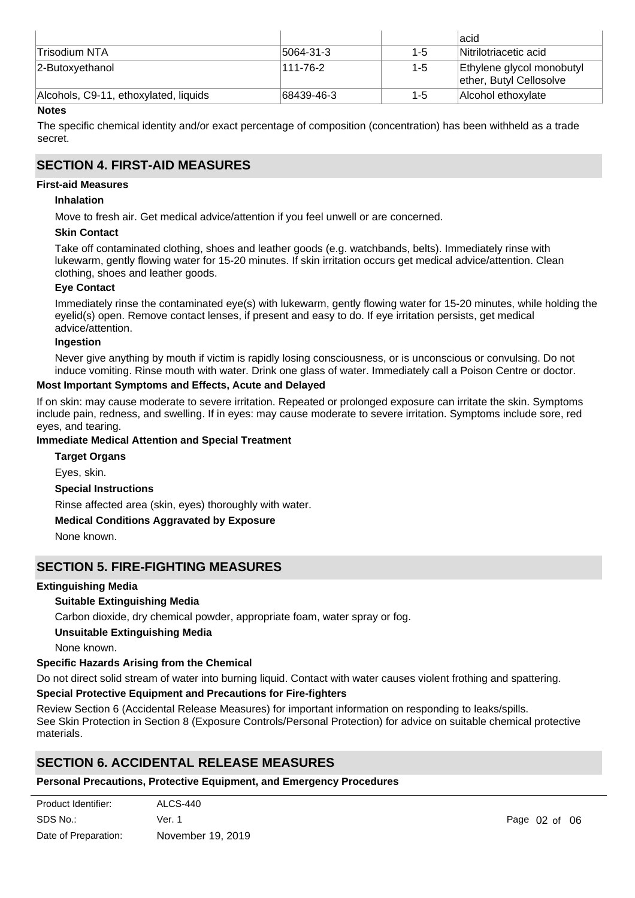|                                       |               |         | lacid                                                |
|---------------------------------------|---------------|---------|------------------------------------------------------|
| ∣Trisodium NTA                        | $ 5064-31-3 $ | $1 - 5$ | Nitrilotriacetic acid                                |
| 2-Butoxyethanol                       | 111-76-2      | $1 - 5$ | Ethylene glycol monobutyl<br>ether, Butyl Cellosolve |
| Alcohols, C9-11, ethoxylated, liquids | 68439-46-3    | 1-5     | Alcohol ethoxvlate                                   |

### **Notes**

The specific chemical identity and/or exact percentage of composition (concentration) has been withheld as a trade secret.

### **SECTION 4. FIRST-AID MEASURES**

### **First-aid Measures**

### **Inhalation**

Move to fresh air. Get medical advice/attention if you feel unwell or are concerned.

### **Skin Contact**

Take off contaminated clothing, shoes and leather goods (e.g. watchbands, belts). Immediately rinse with lukewarm, gently flowing water for 15-20 minutes. If skin irritation occurs get medical advice/attention. Clean clothing, shoes and leather goods.

### **Eye Contact**

Immediately rinse the contaminated eye(s) with lukewarm, gently flowing water for 15-20 minutes, while holding the eyelid(s) open. Remove contact lenses, if present and easy to do. If eye irritation persists, get medical advice/attention.

### **Ingestion**

Never give anything by mouth if victim is rapidly losing consciousness, or is unconscious or convulsing. Do not induce vomiting. Rinse mouth with water. Drink one glass of water. Immediately call a Poison Centre or doctor.

### **Most Important Symptoms and Effects, Acute and Delayed**

If on skin: may cause moderate to severe irritation. Repeated or prolonged exposure can irritate the skin. Symptoms include pain, redness, and swelling. If in eyes: may cause moderate to severe irritation. Symptoms include sore, red eyes, and tearing.

### **Immediate Medical Attention and Special Treatment**

**Special Instructions** Rinse affected area (skin, eyes) thoroughly with water. **Medical Conditions Aggravated by Exposure** None known. **Target Organs** Eyes, skin.

### **SECTION 5. FIRE-FIGHTING MEASURES**

### **Extinguishing Media**

### **Suitable Extinguishing Media**

Carbon dioxide, dry chemical powder, appropriate foam, water spray or fog.

#### **Unsuitable Extinguishing Media**

None known.

### **Specific Hazards Arising from the Chemical**

Do not direct solid stream of water into burning liquid. Contact with water causes violent frothing and spattering.

### **Special Protective Equipment and Precautions for Fire-fighters**

Review Section 6 (Accidental Release Measures) for important information on responding to leaks/spills. See Skin Protection in Section 8 (Exposure Controls/Personal Protection) for advice on suitable chemical protective materials.

# **SECTION 6. ACCIDENTAL RELEASE MEASURES**

### **Personal Precautions, Protective Equipment, and Emergency Procedures**

| Product Identifier:  | ALCS-440          |
|----------------------|-------------------|
| SDS No.:             | Ver. 1            |
| Date of Preparation: | November 19, 2019 |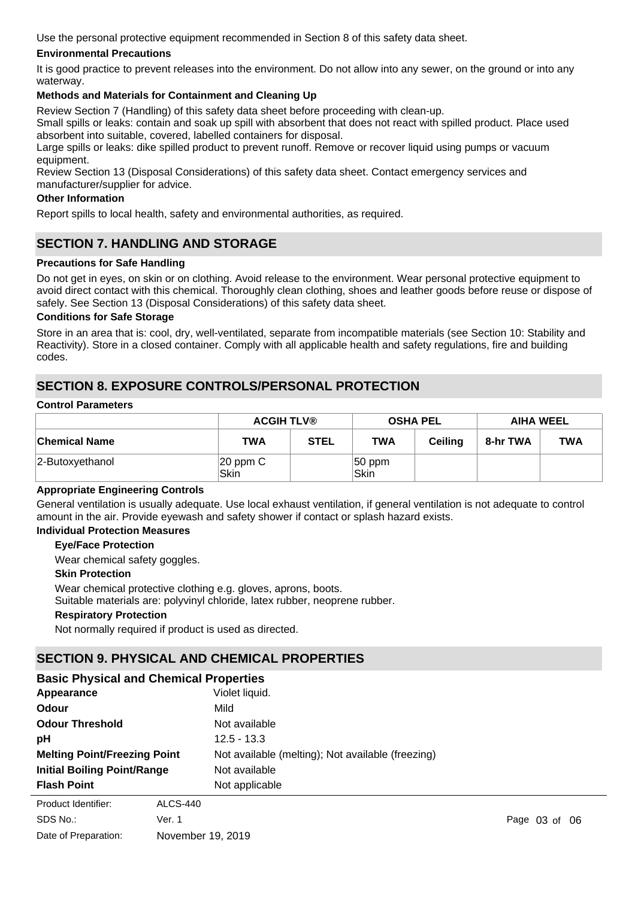Use the personal protective equipment recommended in Section 8 of this safety data sheet.

### **Environmental Precautions**

It is good practice to prevent releases into the environment. Do not allow into any sewer, on the ground or into any waterway.

### **Methods and Materials for Containment and Cleaning Up**

Review Section 7 (Handling) of this safety data sheet before proceeding with clean-up.

Small spills or leaks: contain and soak up spill with absorbent that does not react with spilled product. Place used absorbent into suitable, covered, labelled containers for disposal.

Large spills or leaks: dike spilled product to prevent runoff. Remove or recover liquid using pumps or vacuum equipment.

Review Section 13 (Disposal Considerations) of this safety data sheet. Contact emergency services and manufacturer/supplier for advice.

#### **Other Information**

Report spills to local health, safety and environmental authorities, as required.

### **SECTION 7. HANDLING AND STORAGE**

### **Precautions for Safe Handling**

Do not get in eyes, on skin or on clothing. Avoid release to the environment. Wear personal protective equipment to avoid direct contact with this chemical. Thoroughly clean clothing, shoes and leather goods before reuse or dispose of safely. See Section 13 (Disposal Considerations) of this safety data sheet.

#### **Conditions for Safe Storage**

Store in an area that is: cool, dry, well-ventilated, separate from incompatible materials (see Section 10: Stability and Reactivity). Store in a closed container. Comply with all applicable health and safety regulations, fire and building codes.

# **SECTION 8. EXPOSURE CONTROLS/PERSONAL PROTECTION**

#### **Control Parameters**

|                      |                       | <b>ACGIH TLV®</b> |                   | <b>OSHA PEL</b> |          | <b>AIHA WEEL</b> |  |
|----------------------|-----------------------|-------------------|-------------------|-----------------|----------|------------------|--|
| <b>Chemical Name</b> | TWA                   | <b>STEL</b>       | <b>TWA</b>        | Ceiling         | 8-hr TWA | <b>TWA</b>       |  |
| 2-Butoxyethanol      | $ 20$ ppm $C$<br>Skin |                   | $ 50$ ppm<br>Skin |                 |          |                  |  |

#### **Appropriate Engineering Controls**

General ventilation is usually adequate. Use local exhaust ventilation, if general ventilation is not adequate to control amount in the air. Provide eyewash and safety shower if contact or splash hazard exists.

### **Individual Protection Measures**

### **Eye/Face Protection**

Wear chemical safety goggles.

#### **Skin Protection**

Wear chemical protective clothing e.g. gloves, aprons, boots.

Suitable materials are: polyvinyl chloride, latex rubber, neoprene rubber.

#### **Respiratory Protection**

Not normally required if product is used as directed.

### **SECTION 9. PHYSICAL AND CHEMICAL PROPERTIES**

| <b>Basic Physical and Chemical Properties</b> |                                                   |  |  |  |  |
|-----------------------------------------------|---------------------------------------------------|--|--|--|--|
| Appearance                                    | Violet liquid.                                    |  |  |  |  |
| Odour                                         | Mild                                              |  |  |  |  |
| <b>Odour Threshold</b>                        | Not available                                     |  |  |  |  |
| pH                                            | $12.5 - 13.3$                                     |  |  |  |  |
| <b>Melting Point/Freezing Point</b>           | Not available (melting); Not available (freezing) |  |  |  |  |
| <b>Initial Boiling Point/Range</b>            | Not available                                     |  |  |  |  |
| <b>Flash Point</b>                            | Not applicable                                    |  |  |  |  |
| Product Identifier:<br>ALCS-440               |                                                   |  |  |  |  |

| SDS No.:             | Ver. 1            |
|----------------------|-------------------|
| Date of Preparation: | November 19, 2019 |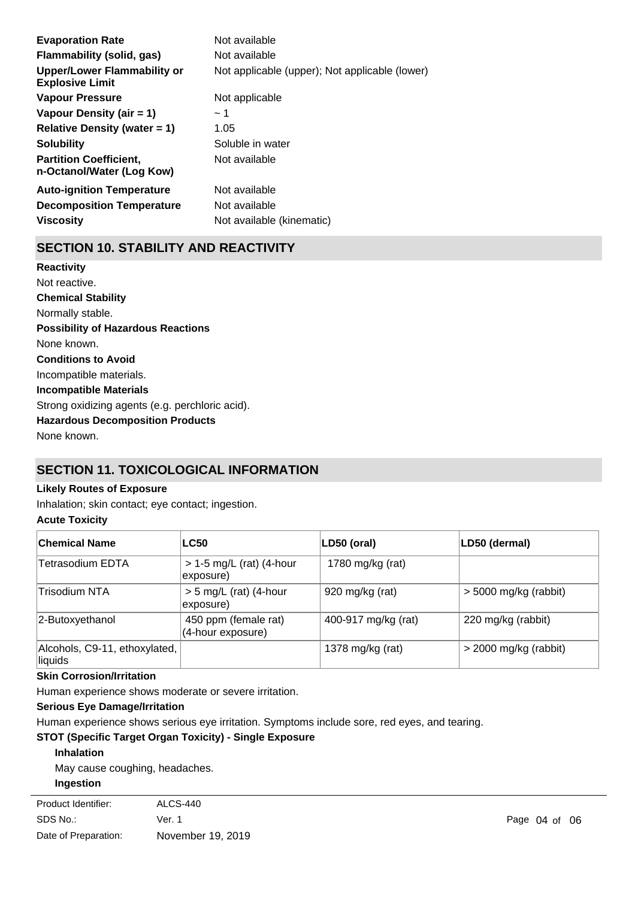| <b>Evaporation Rate</b>                                    | Not available                                  |
|------------------------------------------------------------|------------------------------------------------|
| Flammability (solid, gas)                                  | Not available                                  |
| Upper/Lower Flammability or<br><b>Explosive Limit</b>      | Not applicable (upper); Not applicable (lower) |
| <b>Vapour Pressure</b>                                     | Not applicable                                 |
| Vapour Density (air $= 1$ )                                | ~1~                                            |
| Relative Density (water $= 1$ )                            | 1.05                                           |
| <b>Solubility</b>                                          | Soluble in water                               |
| <b>Partition Coefficient.</b><br>n-Octanol/Water (Log Kow) | Not available                                  |
| <b>Auto-ignition Temperature</b>                           | Not available                                  |
| <b>Decomposition Temperature</b>                           | Not available                                  |
| <b>Viscosity</b>                                           | Not available (kinematic)                      |

# **SECTION 10. STABILITY AND REACTIVITY**

**Chemical Stability** Normally stable. **Conditions to Avoid** Incompatible materials. **Incompatible Materials** Strong oxidizing agents (e.g. perchloric acid). **Hazardous Decomposition Products** None known. **Possibility of Hazardous Reactions** None known. **Reactivity** Not reactive.

# **SECTION 11. TOXICOLOGICAL INFORMATION**

#### **Likely Routes of Exposure**

Inhalation; skin contact; eye contact; ingestion.

### **Acute Toxicity**

| <b>Chemical Name</b>                     | <b>LC50</b>                               | LD50 (oral)         | LD50 (dermal)           |
|------------------------------------------|-------------------------------------------|---------------------|-------------------------|
| Tetrasodium EDTA                         | $> 1-5$ mg/L (rat) (4-hour<br>exposure)   | 1780 mg/kg (rat)    |                         |
| <b>Trisodium NTA</b>                     | $> 5$ mg/L (rat) (4-hour<br>exposure)     | 920 mg/kg (rat)     | $>$ 5000 mg/kg (rabbit) |
| 2-Butoxyethanol                          | 450 ppm (female rat)<br>(4-hour exposure) | 400-917 mg/kg (rat) | 220 mg/kg (rabbit)      |
| Alcohols, C9-11, ethoxylated,<br>liquids |                                           | 1378 mg/kg (rat)    | $>$ 2000 mg/kg (rabbit) |

### **Skin Corrosion/Irritation**

Human experience shows moderate or severe irritation.

### **Serious Eye Damage/Irritation**

Human experience shows serious eye irritation. Symptoms include sore, red eyes, and tearing.

### **STOT (Specific Target Organ Toxicity) - Single Exposure**

**Inhalation**

May cause coughing, headaches. **Ingestion**

| Product Identifier:  | ALCS-440          |                   |  |
|----------------------|-------------------|-------------------|--|
| SDS No.:             | Ver. 1            | Page $04$ of $06$ |  |
| Date of Preparation: | November 19, 2019 |                   |  |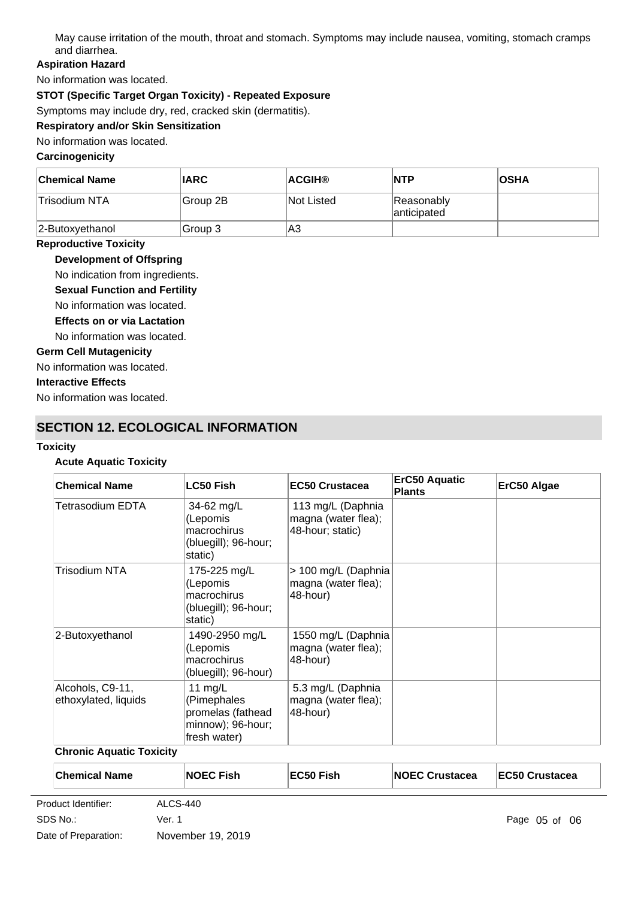May cause irritation of the mouth, throat and stomach. Symptoms may include nausea, vomiting, stomach cramps and diarrhea.

### **Aspiration Hazard**

No information was located.

### **STOT (Specific Target Organ Toxicity) - Repeated Exposure**

Symptoms may include dry, red, cracked skin (dermatitis).

# **Respiratory and/or Skin Sensitization**

No information was located.

### **Carcinogenicity**

| <b>Chemical Name</b> | <b>IARC</b> | <b>ACGIH®</b>     | <b>NTP</b>                | <b>OSHA</b> |
|----------------------|-------------|-------------------|---------------------------|-------------|
| Trisodium NTA        | Group 2B    | <b>Not Listed</b> | Reasonably<br>anticipated |             |
| $ 2$ -Butoxyethanol  | Group 3     | lA3               |                           |             |

### **Reproductive Toxicity**

**Development of Offspring**

No indication from ingredients.

- **Sexual Function and Fertility**
- No information was located.
- **Effects on or via Lactation**
- No information was located.

### **Germ Cell Mutagenicity**

No information was located.

### **Interactive Effects**

No information was located.

# **SECTION 12. ECOLOGICAL INFORMATION**

#### **Toxicity**

### **Acute Aquatic Toxicity**

| <b>Chemical Name</b>                     | <b>LC50 Fish</b>                                                                   | <b>EC50 Crustacea</b>                                        | <b>ErC50 Aquatic</b><br><b>Plants</b> | ErC50 Algae |
|------------------------------------------|------------------------------------------------------------------------------------|--------------------------------------------------------------|---------------------------------------|-------------|
| Tetrasodium EDTA                         | 34-62 mg/L<br>(Lepomis<br>macrochirus<br>(bluegill); 96-hour;<br>static)           | 113 mg/L (Daphnia<br>magna (water flea);<br>48-hour; static) |                                       |             |
| Trisodium NTA                            | 175-225 mg/L<br>(Lepomis<br>macrochirus<br>(bluegill); 96-hour;<br>static)         | > 100 mg/L (Daphnia<br>magna (water flea);<br>48-hour)       |                                       |             |
| 2-Butoxyethanol                          | 1490-2950 mg/L<br>(Lepomis<br>macrochirus<br>(bluegill); 96-hour)                  | 1550 mg/L (Daphnia<br>magna (water flea);<br>48-hour)        |                                       |             |
| Alcohols, C9-11,<br>ethoxylated, liquids | 11 $mg/L$<br>(Pimephales<br>promelas (fathead<br>minnow); 96-hour;<br>fresh water) | 5.3 mg/L (Daphnia<br>magna (water flea);<br>48-hour)         |                                       |             |

### **Chronic Aquatic Toxicity**

| <b>Chemical Name</b> |          | <b>NOEC Fish</b> | EC50 Fish | <b>INOEC Crustacea</b> | <b>EC50 Crustacea</b> |
|----------------------|----------|------------------|-----------|------------------------|-----------------------|
| Product Identifier:  | ALCS-440 |                  |           |                        |                       |